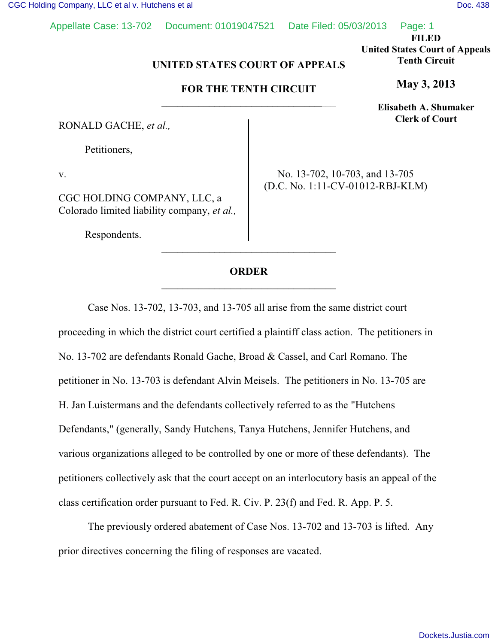Appellate Case: 13-702 Document: 01019047521 Date Filed: 05/03/2013 Page: 1

**FILED**

**United States Court of Appeals Tenth Circuit**

**May 3, 2013**

**Elisabeth A. Shumaker Clerk of Court**

## UNITED STATES COURT OF APPEALS<br> **EALTER FOR THE TENTH CIRCUIT**

## **FOR THE TENTH CIRCUIT** \_\_\_\_\_\_\_\_\_\_\_\_\_\_\_\_\_\_\_\_\_\_\_\_\_\_\_\_\_\_\_\_\_

RONALD GACHE, *et al.,*

Petitioners,

v.

CGC HOLDING COMPANY, LLC, a Colorado limited liability company, *et al.,*

Respondents.

No. 13-702, 10-703, and 13-705 (D.C. No. 1:11-CV-01012-RBJ-KLM)

## **ORDER** \_\_\_\_\_\_\_\_\_\_\_\_\_\_\_\_\_\_\_\_\_\_\_\_\_\_\_\_\_\_\_\_\_

\_\_\_\_\_\_\_\_\_\_\_\_\_\_\_\_\_\_\_\_\_\_\_\_\_\_\_\_\_\_\_\_\_

Case Nos. 13-702, 13-703, and 13-705 all arise from the same district court proceeding in which the district court certified a plaintiff class action. The petitioners in No. 13-702 are defendants Ronald Gache, Broad & Cassel, and Carl Romano. The petitioner in No. 13-703 is defendant Alvin Meisels. The petitioners in No. 13-705 are H. Jan Luistermans and the defendants collectively referred to as the "Hutchens Defendants," (generally, Sandy Hutchens, Tanya Hutchens, Jennifer Hutchens, and various organizations alleged to be controlled by one or more of these defendants). The petitioners collectively ask that the court accept on an interlocutory basis an appeal of the class certification order pursuant to Fed. R. Civ. P. 23(f) and Fed. R. App. P. 5.

The previously ordered abatement of Case Nos. 13-702 and 13-703 is lifted. Any prior directives concerning the filing of responses are vacated.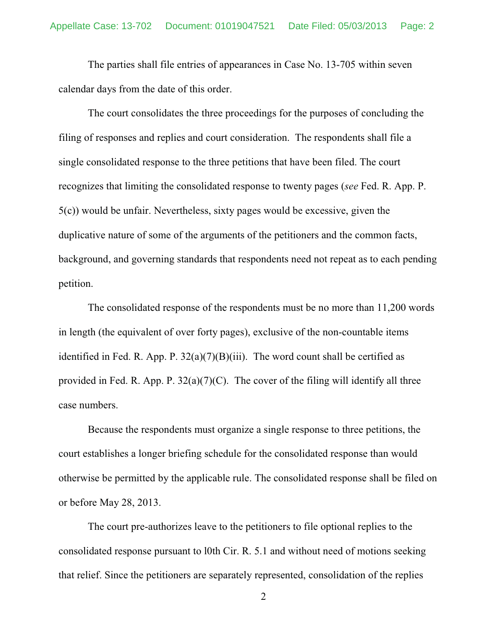The parties shall file entries of appearances in Case No. 13-705 within seven calendar days from the date of this order.

The court consolidates the three proceedings for the purposes of concluding the filing of responses and replies and court consideration. The respondents shall file a single consolidated response to the three petitions that have been filed. The court recognizes that limiting the consolidated response to twenty pages (*see* Fed. R. App. P. 5(c)) would be unfair. Nevertheless, sixty pages would be excessive, given the duplicative nature of some of the arguments of the petitioners and the common facts, background, and governing standards that respondents need not repeat as to each pending petition.

The consolidated response of the respondents must be no more than 11,200 words in length (the equivalent of over forty pages), exclusive of the non-countable items identified in Fed. R. App. P.  $32(a)(7)(B)(iii)$ . The word count shall be certified as provided in Fed. R. App. P.  $32(a)(7)(C)$ . The cover of the filing will identify all three case numbers.

Because the respondents must organize a single response to three petitions, the court establishes a longer briefing schedule for the consolidated response than would otherwise be permitted by the applicable rule. The consolidated response shall be filed on or before May 28, 2013.

The court pre-authorizes leave to the petitioners to file optional replies to the consolidated response pursuant to l0th Cir. R. 5.1 and without need of motions seeking that relief. Since the petitioners are separately represented, consolidation of the replies

2